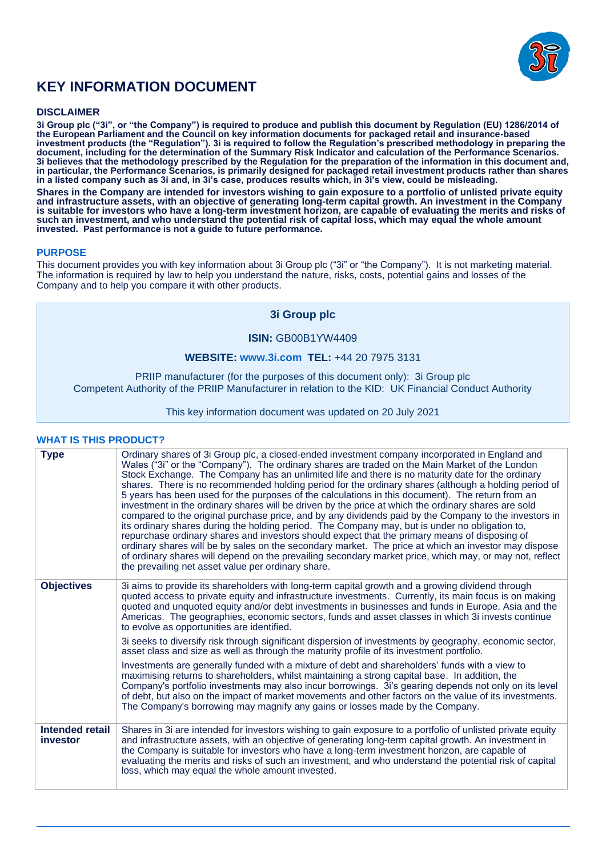

# **KEY INFORMATION DOCUMENT**

# **DISCLAIMER**

**3i Group plc ("3i", or "the Company") is required to produce and publish this document by Regulation (EU) 1286/2014 of the European Parliament and the Council on key information documents for packaged retail and insurance-based investment products (the "Regulation"). 3i is required to follow the Regulation's prescribed methodology in preparing the document, including for the determination of the Summary Risk Indicator and calculation of the Performance Scenarios. 3i believes that the methodology prescribed by the Regulation for the preparation of the information in this document and, in particular, the Performance Scenarios, is primarily designed for packaged retail investment products rather than shares in a listed company such as 3i and, in 3i's case, produces results which, in 3i's view, could be misleading. Shares in the Company are intended for investors wishing to gain exposure to a portfolio of unlisted private equity** 

**and infrastructure assets, with an objective of generating long-term capital growth. An investment in the Company is suitable for investors who have a long-term investment horizon, are capable of evaluating the merits and risks of such an investment, and who understand the potential risk of capital loss, which may equal the whole amount invested. Past performance is not a guide to future performance.** 

# **PURPOSE**

This document provides you with key information about 3i Group plc ("3i" or "the Company"). It is not marketing material. The information is required by law to help you understand the nature, risks, costs, potential gains and losses of the Company and to help you compare it with other products.

# **3i Group plc**

# **ISIN:** GB00B1YW4409

# **WEBSITE: [www.3i.com](http://www.3i.com/) TEL:** +44 20 7975 3131

PRIIP manufacturer (for the purposes of this document only): 3i Group plc Competent Authority of the PRIIP Manufacturer in relation to the KID: UK Financial Conduct Authority

#### This key information document was updated on 20 July 2021

# **WHAT IS THIS PRODUCT?**

| <b>Type</b>                 | Ordinary shares of 3i Group plc, a closed-ended investment company incorporated in England and<br>Wales ("3i" or the "Company"). The ordinary shares are traded on the Main Market of the London<br>Stock Exchange. The Company has an unlimited life and there is no maturity date for the ordinary<br>shares. There is no recommended holding period for the ordinary shares (although a holding period of<br>5 years has been used for the purposes of the calculations in this document). The return from an<br>investment in the ordinary shares will be driven by the price at which the ordinary shares are sold<br>compared to the original purchase price, and by any dividends paid by the Company to the investors in<br>its ordinary shares during the holding period. The Company may, but is under no obligation to,<br>repurchase ordinary shares and investors should expect that the primary means of disposing of<br>ordinary shares will be by sales on the secondary market. The price at which an investor may dispose<br>of ordinary shares will depend on the prevailing secondary market price, which may, or may not, reflect<br>the prevailing net asset value per ordinary share. |
|-----------------------------|--------------------------------------------------------------------------------------------------------------------------------------------------------------------------------------------------------------------------------------------------------------------------------------------------------------------------------------------------------------------------------------------------------------------------------------------------------------------------------------------------------------------------------------------------------------------------------------------------------------------------------------------------------------------------------------------------------------------------------------------------------------------------------------------------------------------------------------------------------------------------------------------------------------------------------------------------------------------------------------------------------------------------------------------------------------------------------------------------------------------------------------------------------------------------------------------------------------|
| <b>Objectives</b>           | 3i aims to provide its shareholders with long-term capital growth and a growing dividend through<br>quoted access to private equity and infrastructure investments. Currently, its main focus is on making<br>quoted and unquoted equity and/or debt investments in businesses and funds in Europe, Asia and the<br>Americas. The geographies, economic sectors, funds and asset classes in which 3i invests continue<br>to evolve as opportunities are identified.                                                                                                                                                                                                                                                                                                                                                                                                                                                                                                                                                                                                                                                                                                                                          |
|                             | 3i seeks to diversify risk through significant dispersion of investments by geography, economic sector,<br>asset class and size as well as through the maturity profile of its investment portfolio.                                                                                                                                                                                                                                                                                                                                                                                                                                                                                                                                                                                                                                                                                                                                                                                                                                                                                                                                                                                                         |
|                             | Investments are generally funded with a mixture of debt and shareholders' funds with a view to<br>maximising returns to shareholders, whilst maintaining a strong capital base. In addition, the<br>Company's portfolio investments may also incur borrowings. 3i's gearing depends not only on its level<br>of debt, but also on the impact of market movements and other factors on the value of its investments.<br>The Company's borrowing may magnify any gains or losses made by the Company.                                                                                                                                                                                                                                                                                                                                                                                                                                                                                                                                                                                                                                                                                                          |
| Intended retail<br>investor | Shares in 3i are intended for investors wishing to gain exposure to a portfolio of unlisted private equity<br>and infrastructure assets, with an objective of generating long-term capital growth. An investment in<br>the Company is suitable for investors who have a long-term investment horizon, are capable of<br>evaluating the merits and risks of such an investment, and who understand the potential risk of capital<br>loss, which may equal the whole amount invested.                                                                                                                                                                                                                                                                                                                                                                                                                                                                                                                                                                                                                                                                                                                          |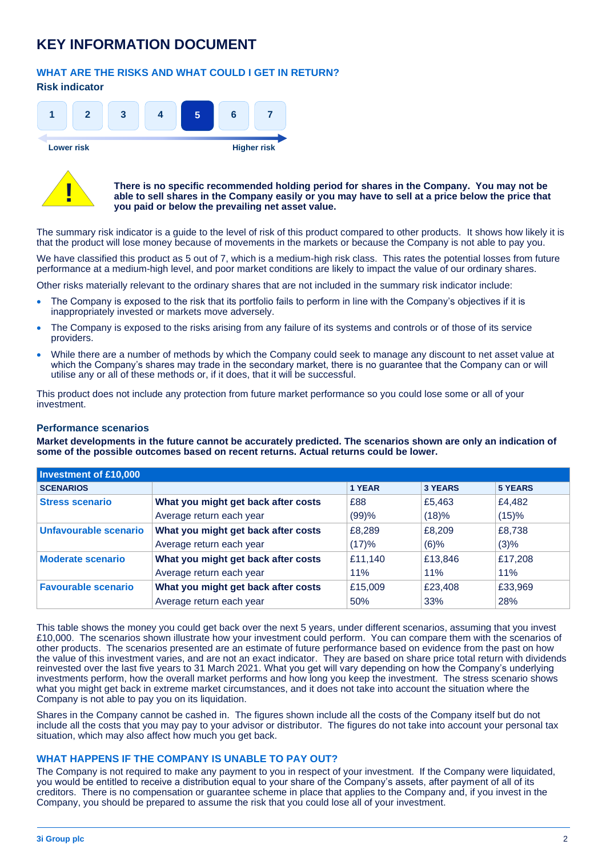# **KEY INFORMATION DOCUMENT**

# **WHAT ARE THE RISKS AND WHAT COULD I GET IN RETURN?**

# **Risk indicator**



**Lower risk Higher risk**



#### **There is no specific recommended holding period for shares in the Company. You may not be able to sell shares in the Company easily or you may have to sell at a price below the price that you paid or below the prevailing net asset value.**

The summary risk indicator is a guide to the level of risk of this product compared to other products. It shows how likely it is that the product will lose money because of movements in the markets or because the Company is not able to pay you.

We have classified this product as 5 out of 7, which is a medium-high risk class. This rates the potential losses from future performance at a medium-high level, and poor market conditions are likely to impact the value of our ordinary shares.

Other risks materially relevant to the ordinary shares that are not included in the summary risk indicator include:

- The Company is exposed to the risk that its portfolio fails to perform in line with the Company's objectives if it is inappropriately invested or markets move adversely.
- The Company is exposed to the risks arising from any failure of its systems and controls or of those of its service providers.
- While there are a number of methods by which the Company could seek to manage any discount to net asset value at which the Company's shares may trade in the secondary market, there is no guarantee that the Company can or will utilise any or all of these methods or, if it does, that it will be successful.

This product does not include any protection from future market performance so you could lose some or all of your investment.

# **Performance scenarios**

**Market developments in the future cannot be accurately predicted. The scenarios shown are only an indication of some of the possible outcomes based on recent returns. Actual returns could be lower.**

| <b>Investment of £10,000</b>                                    |                                     |               |                |                |
|-----------------------------------------------------------------|-------------------------------------|---------------|----------------|----------------|
| <b>SCENARIOS</b>                                                |                                     | <b>1 YEAR</b> | <b>3 YEARS</b> | <b>5 YEARS</b> |
| <b>Stress scenario</b><br>What you might get back after costs   |                                     | £88           | £5,463         | £4.482         |
|                                                                 | Average return each year            | (99)%         | (18)%          | (15)%          |
| Unfavourable scenario                                           | What you might get back after costs | £8,289        | £8,209         | £8,738         |
|                                                                 | Average return each year            | (17)%         | $(6)$ %        | (3)%           |
| What you might get back after costs<br><b>Moderate scenario</b> |                                     | £11,140       | £13,846        | £17,208        |
|                                                                 | Average return each year            | 11%           | 11%            | 11%            |
| <b>Favourable scenario</b>                                      | What you might get back after costs | £15,009       | £23,408        | £33,969        |
|                                                                 | Average return each year            | 50%           | 33%            | 28%            |

This table shows the money you could get back over the next 5 years, under different scenarios, assuming that you invest £10,000. The scenarios shown illustrate how your investment could perform. You can compare them with the scenarios of other products. The scenarios presented are an estimate of future performance based on evidence from the past on how the value of this investment varies, and are not an exact indicator. They are based on share price total return with dividends reinvested over the last five years to 31 March 2021. What you get will vary depending on how the Company's underlying investments perform, how the overall market performs and how long you keep the investment. The stress scenario shows what you might get back in extreme market circumstances, and it does not take into account the situation where the Company is not able to pay you on its liquidation.

Shares in the Company cannot be cashed in. The figures shown include all the costs of the Company itself but do not include all the costs that you may pay to your advisor or distributor. The figures do not take into account your personal tax situation, which may also affect how much you get back.

# **WHAT HAPPENS IF THE COMPANY IS UNABLE TO PAY OUT?**

The Company is not required to make any payment to you in respect of your investment. If the Company were liquidated, you would be entitled to receive a distribution equal to your share of the Company's assets, after payment of all of its creditors. There is no compensation or guarantee scheme in place that applies to the Company and, if you invest in the Company, you should be prepared to assume the risk that you could lose all of your investment.